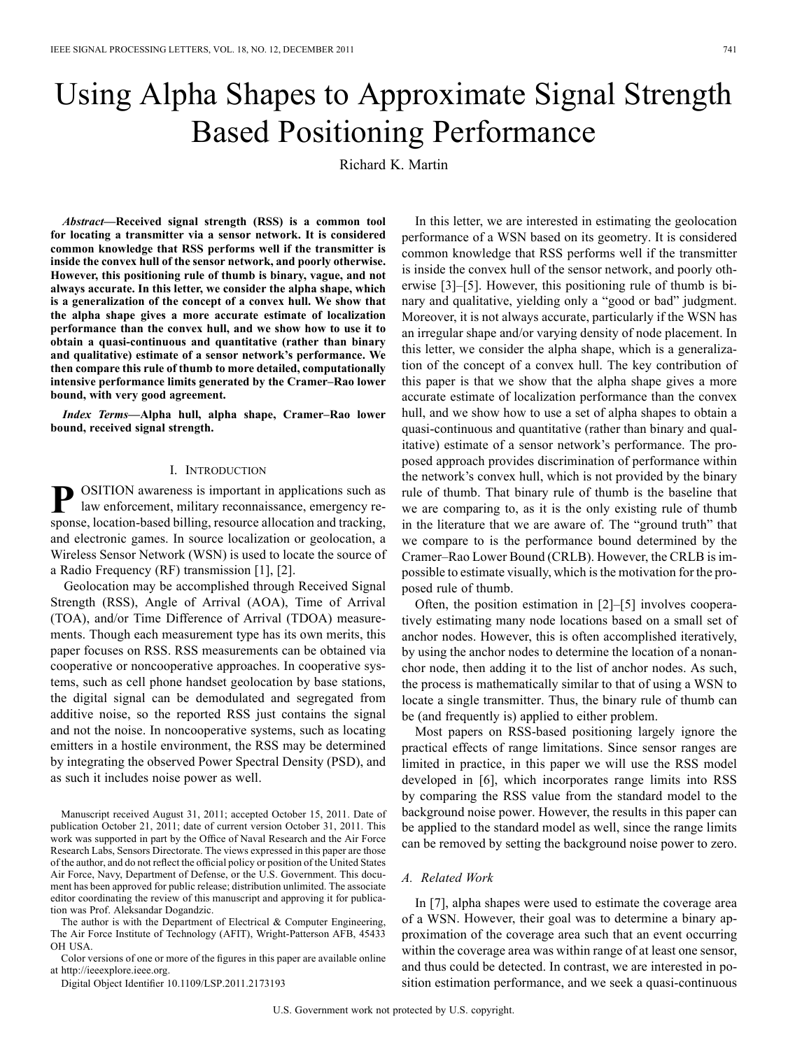# Using Alpha Shapes to Approximate Signal Strength Based Positioning Performance

Richard K. Martin

*Abstract—***Received signal strength (RSS) is a common tool for locating a transmitter via a sensor network. It is considered common knowledge that RSS performs well if the transmitter is inside the convex hull of the sensor network, and poorly otherwise. However, this positioning rule of thumb is binary, vague, and not always accurate. In this letter, we consider the alpha shape, which is a generalization of the concept of a convex hull. We show that the alpha shape gives a more accurate estimate of localization performance than the convex hull, and we show how to use it to obtain a quasi-continuous and quantitative (rather than binary and qualitative) estimate of a sensor network's performance. We then compare this rule of thumb to more detailed, computationally intensive performance limits generated by the Cramer–Rao lower bound, with very good agreement.**

*Index Terms—***Alpha hull, alpha shape, Cramer–Rao lower bound, received signal strength.**

#### I. INTRODUCTION

**POSITION** awareness is important in applications such as law enforcement, military reconnaissance, emergency response, location-based billing, resource allocation and tracking, and electronic games. In source localization or geolocation, a Wireless Sensor Network (WSN) is used to locate the source of a Radio Frequency (RF) transmission [1], [2].

Geolocation may be accomplished through Received Signal Strength (RSS), Angle of Arrival (AOA), Time of Arrival (TOA), and/or Time Difference of Arrival (TDOA) measurements. Though each measurement type has its own merits, this paper focuses on RSS. RSS measurements can be obtained via cooperative or noncooperative approaches. In cooperative systems, such as cell phone handset geolocation by base stations, the digital signal can be demodulated and segregated from additive noise, so the reported RSS just contains the signal and not the noise. In noncooperative systems, such as locating emitters in a hostile environment, the RSS may be determined by integrating the observed Power Spectral Density (PSD), and as such it includes noise power as well.

Manuscript received August 31, 2011; accepted October 15, 2011. Date of publication October 21, 2011; date of current version October 31, 2011. This work was supported in part by the Office of Naval Research and the Air Force Research Labs, Sensors Directorate. The views expressed in this paper are those of the author, and do not reflect the official policy or position of the United States Air Force, Navy, Department of Defense, or the U.S. Government. This document has been approved for public release; distribution unlimited. The associate editor coordinating the review of this manuscript and approving it for publication was Prof. Aleksandar Dogandzic.

The author is with the Department of Electrical  $\&$  Computer Engineering, The Air Force Institute of Technology (AFIT), Wright-Patterson AFB, 45433 OH USA.

Color versions of one or more of the figures in this paper are available online at http://ieeexplore.ieee.org.

Digital Object Identifier 10.1109/LSP.2011.2173193

In this letter, we are interested in estimating the geolocation performance of a WSN based on its geometry. It is considered common knowledge that RSS performs well if the transmitter is inside the convex hull of the sensor network, and poorly otherwise [3]–[5]. However, this positioning rule of thumb is binary and qualitative, yielding only a "good or bad" judgment. Moreover, it is not always accurate, particularly if the WSN has an irregular shape and/or varying density of node placement. In this letter, we consider the alpha shape, which is a generalization of the concept of a convex hull. The key contribution of this paper is that we show that the alpha shape gives a more accurate estimate of localization performance than the convex hull, and we show how to use a set of alpha shapes to obtain a quasi-continuous and quantitative (rather than binary and qualitative) estimate of a sensor network's performance. The proposed approach provides discrimination of performance within the network's convex hull, which is not provided by the binary rule of thumb. That binary rule of thumb is the baseline that we are comparing to, as it is the only existing rule of thumb in the literature that we are aware of. The "ground truth" that we compare to is the performance bound determined by the Cramer–Rao Lower Bound (CRLB). However, the CRLB is impossible to estimate visually, which is the motivation for the proposed rule of thumb.

Often, the position estimation in [2]–[5] involves cooperatively estimating many node locations based on a small set of anchor nodes. However, this is often accomplished iteratively, by using the anchor nodes to determine the location of a nonanchor node, then adding it to the list of anchor nodes. As such, the process is mathematically similar to that of using a WSN to locate a single transmitter. Thus, the binary rule of thumb can be (and frequently is) applied to either problem.

Most papers on RSS-based positioning largely ignore the practical effects of range limitations. Since sensor ranges are limited in practice, in this paper we will use the RSS model developed in [6], which incorporates range limits into RSS by comparing the RSS value from the standard model to the background noise power. However, the results in this paper can be applied to the standard model as well, since the range limits can be removed by setting the background noise power to zero.

# *A. Related Work*

In [7], alpha shapes were used to estimate the coverage area of a WSN. However, their goal was to determine a binary approximation of the coverage area such that an event occurring within the coverage area was within range of at least one sensor, and thus could be detected. In contrast, we are interested in position estimation performance, and we seek a quasi-continuous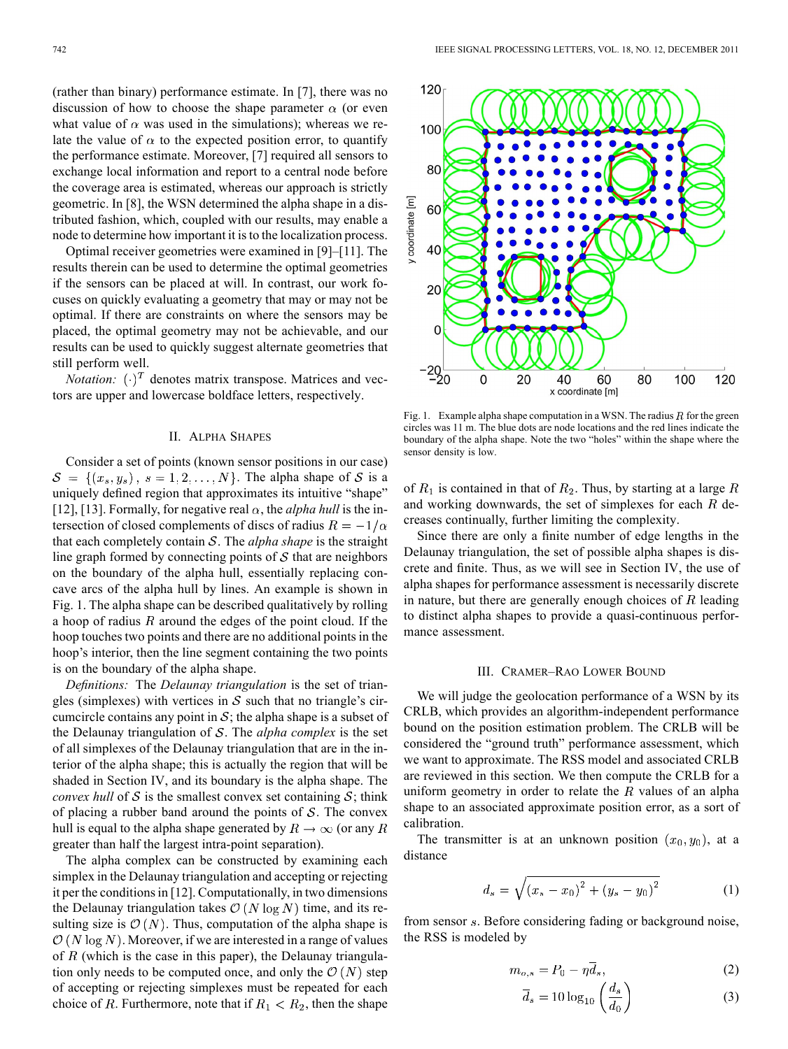(rather than binary) performance estimate. In [7], there was no discussion of how to choose the shape parameter  $\alpha$  (or even what value of  $\alpha$  was used in the simulations); whereas we relate the value of  $\alpha$  to the expected position error, to quantify the performance estimate. Moreover, [7] required all sensors to exchange local information and report to a central node before the coverage area is estimated, whereas our approach is strictly geometric. In [8], the WSN determined the alpha shape in a distributed fashion, which, coupled with our results, may enable a node to determine how important it is to the localization process.

Optimal receiver geometries were examined in [9]–[11]. The results therein can be used to determine the optimal geometries if the sensors can be placed at will. In contrast, our work focuses on quickly evaluating a geometry that may or may not be optimal. If there are constraints on where the sensors may be placed, the optimal geometry may not be achievable, and our results can be used to quickly suggest alternate geometries that still perform well.

*Notation:*  $(\cdot)^T$  denotes matrix transpose. Matrices and vectors are upper and lowercase boldface letters, respectively.

#### II. ALPHA SHAPES

Consider a set of points (known sensor positions in our case)  $S = \{(x_s, y_s), s = 1, 2, \ldots, N\}$ . The alpha shape of S is a uniquely defined region that approximates its intuitive "shape" [12], [13]. Formally, for negative real  $\alpha$ , the *alpha hull* is the intersection of closed complements of discs of radius  $R = -1/\alpha$ that each completely contain  $S$ . The *alpha shape* is the straight line graph formed by connecting points of  $S$  that are neighbors on the boundary of the alpha hull, essentially replacing concave arcs of the alpha hull by lines. An example is shown in Fig. 1. The alpha shape can be described qualitatively by rolling a hoop of radius  $R$  around the edges of the point cloud. If the hoop touches two points and there are no additional points in the hoop's interior, then the line segment containing the two points is on the boundary of the alpha shape.

*Definitions:* The *Delaunay triangulation* is the set of triangles (simplexes) with vertices in  $S$  such that no triangle's circumcircle contains any point in  $S$ ; the alpha shape is a subset of the Delaunay triangulation of  $S$ . The *alpha complex* is the set of all simplexes of the Delaunay triangulation that are in the interior of the alpha shape; this is actually the region that will be shaded in Section IV, and its boundary is the alpha shape. The *convex hull* of S is the smallest convex set containing  $S$ ; think of placing a rubber band around the points of  $S$ . The convex hull is equal to the alpha shape generated by  $R \to \infty$  (or any R greater than half the largest intra-point separation).

The alpha complex can be constructed by examining each simplex in the Delaunay triangulation and accepting or rejecting it per the conditions in [12]. Computationally, in two dimensions the Delaunay triangulation takes  $\mathcal{O}(N \log N)$  time, and its resulting size is  $\mathcal{O}(N)$ . Thus, computation of the alpha shape is  $\mathcal{O}(N \log N)$ . Moreover, if we are interested in a range of values of  $R$  (which is the case in this paper), the Delaunay triangulation only needs to be computed once, and only the  $\mathcal{O}(N)$  step of accepting or rejecting simplexes must be repeated for each choice of R. Furthermore, note that if  $R_1 < R_2$ , then the shape



Fig. 1. Example alpha shape computation in a WSN. The radius  $R$  for the green circles was 11 m. The blue dots are node locations and the red lines indicate the boundary of the alpha shape. Note the two "holes" within the shape where the sensor density is low.

of  $R_1$  is contained in that of  $R_2$ . Thus, by starting at a large R and working downwards, the set of simplexes for each  $R$  decreases continually, further limiting the complexity.

Since there are only a finite number of edge lengths in the Delaunay triangulation, the set of possible alpha shapes is discrete and finite. Thus, as we will see in Section IV, the use of alpha shapes for performance assessment is necessarily discrete in nature, but there are generally enough choices of  $R$  leading to distinct alpha shapes to provide a quasi-continuous performance assessment.

#### III. CRAMER–RAO LOWER BOUND

We will judge the geolocation performance of a WSN by its CRLB, which provides an algorithm-independent performance bound on the position estimation problem. The CRLB will be considered the "ground truth" performance assessment, which we want to approximate. The RSS model and associated CRLB are reviewed in this section. We then compute the CRLB for a uniform geometry in order to relate the  $R$  values of an alpha shape to an associated approximate position error, as a sort of calibration.

The transmitter is at an unknown position  $(x_0, y_0)$ , at a distance

$$
d_s = \sqrt{(x_s - x_0)^2 + (y_s - y_0)^2}
$$
 (1)

from sensor s. Before considering fading or background noise, the RSS is modeled by

$$
m_{o,s} = P_0 - \eta \overline{d}_s,\tag{2}
$$

$$
\overline{d}_s = 10 \log_{10} \left( \frac{d_s}{d_0} \right) \tag{3}
$$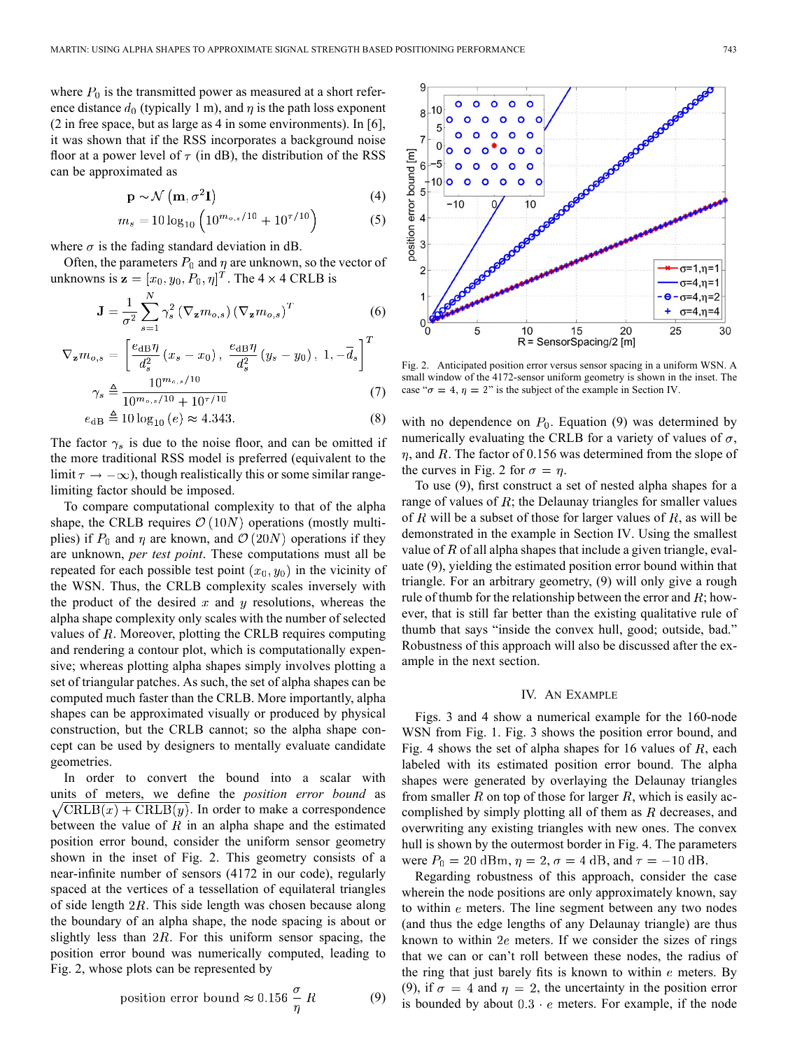(5)

where  $P_0$  is the transmitted power as measured at a short reference distance  $d_0$  (typically 1 m), and  $\eta$  is the path loss exponent (2 in free space, but as large as 4 in some environments). In [6], it was shown that if the RSS incorporates a background noise floor at a power level of  $\tau$  (in dB), the distribution of the RSS can be approximated as

$$
\mathbf{p} \sim \mathcal{N}\left(\mathbf{m}, \sigma^2 \mathbf{I}\right) \tag{4}
$$

$$
m_s = 10\log_{10}\left(10^{m_{o,s}/10} + 10^{7/10}\right)
$$

where  $\sigma$  is the fading standard deviation in dB.

Often, the parameters  $P_0$  and  $\eta$  are unknown, so the vector of unknowns is  $\mathbf{z} = [x_0, y_0, P_0, \eta]^T$ . The 4  $\times$  4 CRLB is

$$
\mathbf{J} = \frac{1}{\sigma^2} \sum_{s=1}^{N} \gamma_s^2 \left( \nabla_{\mathbf{z}} m_{o,s} \right) \left( \nabla_{\mathbf{z}} m_{o,s} \right)^T \tag{6}
$$

$$
\nabla_{\mathbf{z}} m_{o,s} = \left[ \frac{e_{\text{dB}} \eta}{d_s^2} (x_s - x_0), \frac{e_{\text{dB}} \eta}{d_s^2} (y_s - y_0), 1, -\overline{d}_s \right]^T
$$
  

$$
\gamma_s \triangleq \frac{10^{m_{o,s}/10}}{10^{m_{o,s}/10} + 10^{\tau/10}} \tag{7}
$$

$$
e_{\text{dB}} \triangleq 10 \log_{10} (e) \approx 4.343. \tag{8}
$$

The factor  $\gamma_s$  is due to the noise floor, and can be omitted if the more traditional RSS model is preferred (equivalent to the limit  $\tau \to -\infty$ ), though realistically this or some similar rangelimiting factor should be imposed.

To compare computational complexity to that of the alpha shape, the CRLB requires  $\mathcal{O}(10N)$  operations (mostly multiplies) if  $P_0$  and  $\eta$  are known, and  $\mathcal{O}(20N)$  operations if they are unknown, *per test point*. These computations must all be repeated for each possible test point  $(x_0, y_0)$  in the vicinity of the WSN. Thus, the CRLB complexity scales inversely with the product of the desired  $x$  and  $y$  resolutions, whereas the alpha shape complexity only scales with the number of selected values of  $R$ . Moreover, plotting the CRLB requires computing and rendering a contour plot, which is computationally expensive; whereas plotting alpha shapes simply involves plotting a set of triangular patches. As such, the set of alpha shapes can be computed much faster than the CRLB. More importantly, alpha shapes can be approximated visually or produced by physical construction, but the CRLB cannot; so the alpha shape concept can be used by designers to mentally evaluate candidate geometries.

In order to convert the bound into a scalar with units of meters, we define the *position error bound* as  $\sqrt{\text{CRLB}(x) + \text{CRLB}(y)}$ . In order to make a correspondence between the value of  $R$  in an alpha shape and the estimated position error bound, consider the uniform sensor geometry shown in the inset of Fig. 2. This geometry consists of a near-infinite number of sensors (4172 in our code), regularly spaced at the vertices of a tessellation of equilateral triangles of side length  $2R$ . This side length was chosen because along the boundary of an alpha shape, the node spacing is about or slightly less than  $2R$ . For this uniform sensor spacing, the position error bound was numerically computed, leading to Fig. 2, whose plots can be represented by

position error bound 
$$
\approx 0.156 \frac{\sigma}{\eta} R
$$
 (9)



Fig. 2. Anticipated position error versus sensor spacing in a uniform WSN. A small window of the 4172-sensor uniform geometry is shown in the inset. The case " $\sigma = 4$ ,  $\eta = 2$ " is the subject of the example in Section IV.

with no dependence on  $P_0$ . Equation (9) was determined by numerically evaluating the CRLB for a variety of values of  $\sigma$ ,  $\eta$ , and R. The factor of 0.156 was determined from the slope of the curves in Fig. 2 for  $\sigma = \eta$ .

To use (9), first construct a set of nested alpha shapes for a range of values of  $R$ ; the Delaunay triangles for smaller values of  $R$  will be a subset of those for larger values of  $R$ , as will be demonstrated in the example in Section IV. Using the smallest value of  $R$  of all alpha shapes that include a given triangle, evaluate (9), yielding the estimated position error bound within that triangle. For an arbitrary geometry, (9) will only give a rough rule of thumb for the relationship between the error and  $R$ ; however, that is still far better than the existing qualitative rule of thumb that says "inside the convex hull, good; outside, bad." Robustness of this approach will also be discussed after the example in the next section.

# IV. AN EXAMPLE

Figs. 3 and 4 show a numerical example for the 160-node WSN from Fig. 1. Fig. 3 shows the position error bound, and Fig. 4 shows the set of alpha shapes for 16 values of  $R$ , each labeled with its estimated position error bound. The alpha shapes were generated by overlaying the Delaunay triangles from smaller R on top of those for larger R, which is easily accomplished by simply plotting all of them as  $R$  decreases, and overwriting any existing triangles with new ones. The convex hull is shown by the outermost border in Fig. 4. The parameters were  $P_0 = 20$  dBm,  $\eta = 2$ ,  $\sigma = 4$  dB, and  $\tau = -10$  dB.

Regarding robustness of this approach, consider the case wherein the node positions are only approximately known, say to within  $e$  meters. The line segment between any two nodes (and thus the edge lengths of any Delaunay triangle) are thus known to within  $2e$  meters. If we consider the sizes of rings that we can or can't roll between these nodes, the radius of the ring that just barely fits is known to within  $e$  meters. By (9), if  $\sigma = 4$  and  $\eta = 2$ , the uncertainty in the position error is bounded by about  $0.3 \cdot e$  meters. For example, if the node